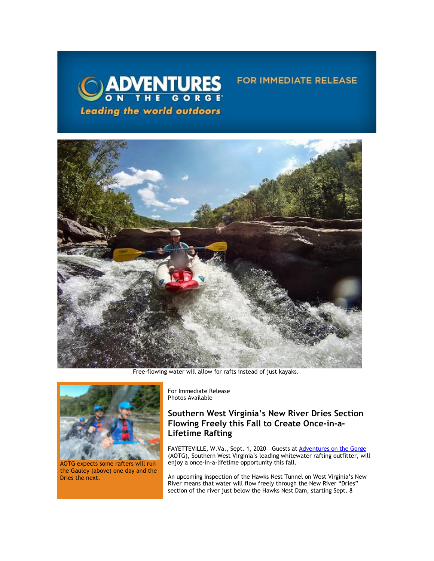

Free-flowing water will allow for rafts instead of just kayaks.



AOTG expects some rafters will run the Gauley (above) one day and the Dries the next.

For Immediate Release Photos Available

# **Southern West Virginia's New River Dries Section Flowing Freely this Fall to Create Once-in-a-Lifetime Rafting**

FOR IMMEDIATE RELEASE

FAYETTEVILLE, W.Va., Sept. 1, 2020 - Guests at [Adventures on the Gorge](https://click.icptrack.com/icp/relay.php?r=13440961&msgid=460616&act=3SPQ&c=1378153&destination=http%3A%2F%2Fwww.adventuresonthegorge.com%2F&cf=13608&v=5a6d29c5bd89500c6946838c97b8849561ebbd48dbb2fdae9fe0068cb3f8e60e) (AOTG), Southern West Virginia's leading whitewater rafting outfitter, will enjoy a once-in-a-lifetime opportunity this fall.

An upcoming inspection of the Hawks Nest Tunnel on West Virginia's New River means that water will flow freely through the New River "Dries" section of the river just below the Hawks Nest Dam, starting Sept. 8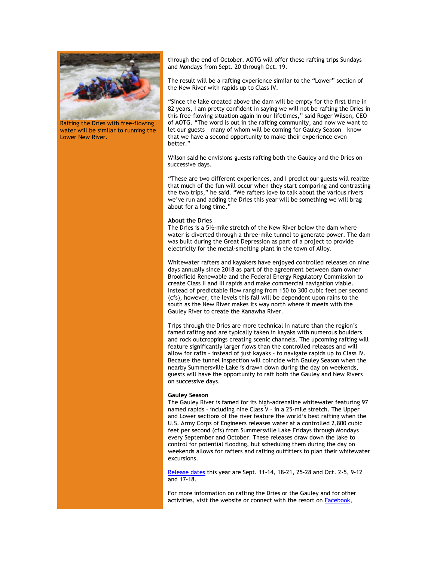

Rafting the Dries with free-flowing water will be similar to running the Lower New River.

through the end of October. AOTG will offer these rafting trips Sundays and Mondays from Sept. 20 through Oct. 19.

The result will be a rafting experience similar to the "Lower" section of the New River with rapids up to Class IV.

"Since the lake created above the dam will be empty for the first time in 82 years, I am pretty confident in saying we will not be rafting the Dries in this free-flowing situation again in our lifetimes," said Roger Wilson, CEO of AOTG. "The word is out in the rafting community, and now we want to let our guests – many of whom will be coming for Gauley Season – know that we have a second opportunity to make their experience even better."

Wilson said he envisions guests rafting both the Gauley and the Dries on successive days.

"These are two different experiences, and I predict our guests will realize that much of the fun will occur when they start comparing and contrasting the two trips," he said. "We rafters love to talk about the various rivers we've run and adding the Dries this year will be something we will brag about for a long time."

### **About the Dries**

The Dries is a 5½-mile stretch of the New River below the dam where water is diverted through a three-mile tunnel to generate power. The dam was built during the Great Depression as part of a project to provide electricity for the metal-smelting plant in the town of Alloy.

Whitewater rafters and kayakers have enjoyed controlled releases on nine days annually since 2018 as part of the agreement between dam owner Brookfield Renewable and the Federal Energy Regulatory Commission to create Class II and III rapids and make commercial navigation viable. Instead of predictable flow ranging from 150 to 300 cubic feet per second (cfs), however, the levels this fall will be dependent upon rains to the south as the New River makes its way north where it meets with the Gauley River to create the Kanawha River.

Trips through the Dries are more technical in nature than the region's famed rafting and are typically taken in kayaks with numerous boulders and rock outcroppings creating scenic channels. The upcoming rafting will feature significantly larger flows than the controlled releases and will allow for rafts – instead of just kayaks – to navigate rapids up to Class IV. Because the tunnel inspection will coincide with Gauley Season when the nearby Summersville Lake is drawn down during the day on weekends, guests will have the opportunity to raft both the Gauley and New Rivers on successive days.

#### **Gauley Season**

The Gauley River is famed for its high-adrenaline whitewater featuring 97 named rapids – including nine Class V – in a 25-mile stretch. The Upper and Lower sections of the river feature the world's best rafting when the U.S. Army Corps of Engineers releases water at a controlled 2,800 cubic feet per second (cfs) from Summersville Lake Fridays through Mondays every September and October. These releases draw down the lake to control for potential flooding, but scheduling them during the day on weekends allows for rafters and rafting outfitters to plan their whitewater excursions.

[Release dates](https://click.icptrack.com/icp/relay.php?r=13440961&msgid=460616&act=3SPQ&c=1378153&destination=https%3A%2F%2Fadventuresonthegorge.com%2Funcategorized%2Fgauley-release-dates-calendar%2F&cf=13608&v=ff31ba0554bf660a6e261e1ee472269c2e1012eb54897798e01484b5de8bce5d) this year are Sept. 11-14, 18-21, 25-28 and Oct. 2-5, 9-12 and 17-18.

For more information on rafting the Dries or the Gauley and for other activities, visit the website or connect with the resort on [Facebook,](https://click.icptrack.com/icp/relay.php?r=13440961&msgid=460616&act=3SPQ&c=1378153&destination=https%3A%2F%2Fwww.facebook.com%2Fadventuresonthegorge&cf=13608&v=3ae1e8e26c07dbafaaeed67c8a0b8fc0091b0e50b2e6c3b2133cb61911e107ad)